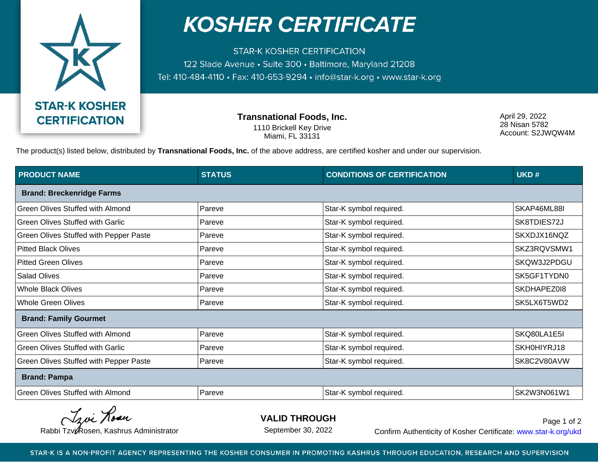

## **KOSHER CERTIFICATE**

**STAR-K KOSHER CERTIFICATION** 122 Slade Avenue • Suite 300 • Baltimore, Maryland 21208 Tel: 410-484-4110 · Fax: 410-653-9294 · info@star-k.org · www.star-k.org

> **Transnational Foods, Inc.** 1110 Brickell Key Drive Miami, FL 33131

April 29, 2022 28 Nisan 5782 Account: S2JWQW4M

The product(s) listed below, distributed by **Transnational Foods, Inc.** of the above address, are certified kosher and under our supervision.

| <b>PRODUCT NAME</b>                     | <b>STATUS</b> | <b>CONDITIONS OF CERTIFICATION</b> | UKD#        |  |
|-----------------------------------------|---------------|------------------------------------|-------------|--|
| <b>Brand: Breckenridge Farms</b>        |               |                                    |             |  |
| Green Olives Stuffed with Almond        | Pareve        | Star-K symbol required.            | SKAP46ML88I |  |
| <b>Green Olives Stuffed with Garlic</b> | Pareve        | Star-K symbol required.            | SK8TDIES72J |  |
| Green Olives Stuffed with Pepper Paste  | Pareve        | Star-K symbol required.            | SKXDJX16NQZ |  |
| <b>Pitted Black Olives</b>              | Pareve        | Star-K symbol required.            | SKZ3RQVSMW1 |  |
| <b>Pitted Green Olives</b>              | Pareve        | Star-K symbol required.            | SKQW3J2PDGU |  |
| <b>Salad Olives</b>                     | Pareve        | Star-K symbol required.            | SK5GF1TYDN0 |  |
| <b>Whole Black Olives</b>               | Pareve        | Star-K symbol required.            | SKDHAPEZ018 |  |
| <b>Whole Green Olives</b>               | Pareve        | Star-K symbol required.            | SK5LX6T5WD2 |  |
| <b>Brand: Family Gourmet</b>            |               |                                    |             |  |
| Green Olives Stuffed with Almond        | Pareve        | Star-K symbol required.            | SKQ80LA1E5I |  |
| Green Olives Stuffed with Garlic        | Pareve        | Star-K symbol required.            | SKH0HIYRJ18 |  |
| Green Olives Stuffed with Pepper Paste  | Pareve        | Star-K symbol required.            | SK8C2V80AVW |  |
| <b>Brand: Pampa</b>                     |               |                                    |             |  |
| Green Olives Stuffed with Almond        | Pareve        | Star-K symbol required.            | SK2W3N061W1 |  |

Tavi Rosa

**VALID THROUGH**

September 30, 2022

Rabbi Tzvi Rosen, Kashrus Administrator **Confirm Authenticity of Kosher Certificate:** www.star-k.org/ukd Page 1 of 2

STAR-K IS A NON-PROFIT AGENCY REPRESENTING THE KOSHER CONSUMER IN PROMOTING KASHRUS THROUGH EDUCATION, RESEARCH AND SUPERVISION